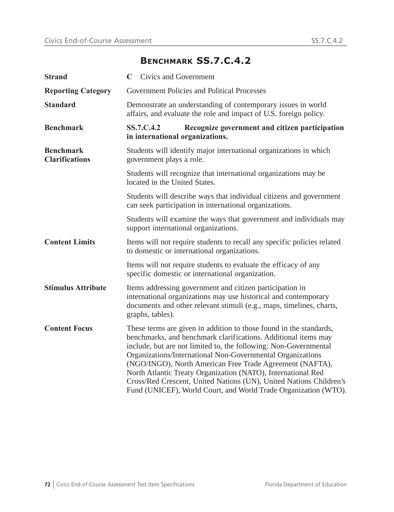## **BENCHMARK SS.7.C.4.2**

| <b>Strand</b>                             | <b>Civics and Government</b><br>C                                                                                                                                                                                                                                                                                                                                                                                                                                                                                                           |  |  |
|-------------------------------------------|---------------------------------------------------------------------------------------------------------------------------------------------------------------------------------------------------------------------------------------------------------------------------------------------------------------------------------------------------------------------------------------------------------------------------------------------------------------------------------------------------------------------------------------------|--|--|
| <b>Reporting Category</b>                 | Government Policies and Political Processes                                                                                                                                                                                                                                                                                                                                                                                                                                                                                                 |  |  |
| <b>Standard</b>                           | Demonstrate an understanding of contemporary issues in world<br>affairs, and evaluate the role and impact of U.S. foreign policy.                                                                                                                                                                                                                                                                                                                                                                                                           |  |  |
| <b>Benchmark</b>                          | SS.7.C.4.2<br>Recognize government and citizen participation<br>in international organizations.                                                                                                                                                                                                                                                                                                                                                                                                                                             |  |  |
| <b>Benchmark</b><br><b>Clarifications</b> | Students will identify major international organizations in which<br>government plays a role.                                                                                                                                                                                                                                                                                                                                                                                                                                               |  |  |
|                                           | Students will recognize that international organizations may be<br>located in the United States.                                                                                                                                                                                                                                                                                                                                                                                                                                            |  |  |
|                                           | Students will describe ways that individual citizens and government<br>can seek participation in international organizations.                                                                                                                                                                                                                                                                                                                                                                                                               |  |  |
|                                           | Students will examine the ways that government and individuals may<br>support international organizations.                                                                                                                                                                                                                                                                                                                                                                                                                                  |  |  |
| <b>Content Limits</b>                     | Items will not require students to recall any specific policies related<br>to domestic or international organizations.                                                                                                                                                                                                                                                                                                                                                                                                                      |  |  |
|                                           | Items will not require students to evaluate the efficacy of any<br>specific domestic or international organization.                                                                                                                                                                                                                                                                                                                                                                                                                         |  |  |
| <b>Stimulus Attribute</b>                 | Items addressing government and citizen participation in<br>international organizations may use historical and contemporary<br>documents and other relevant stimuli (e.g., maps, timelines, charts,<br>graphs, tables).                                                                                                                                                                                                                                                                                                                     |  |  |
| <b>Content Focus</b>                      | These terms are given in addition to those found in the standards,<br>benchmarks, and benchmark clarifications. Additional items may<br>include, but are not limited to, the following: Non-Governmental<br>Organizations/International Non-Governmental Organizations<br>(NGO/INGO), North American Free Trade Agreement (NAFTA),<br>North Atlantic Treaty Organization (NATO), International Red<br>Cross/Red Crescent, United Nations (UN), United Nations Children's<br>Fund (UNICEF), World Court, and World Trade Organization (WTO). |  |  |